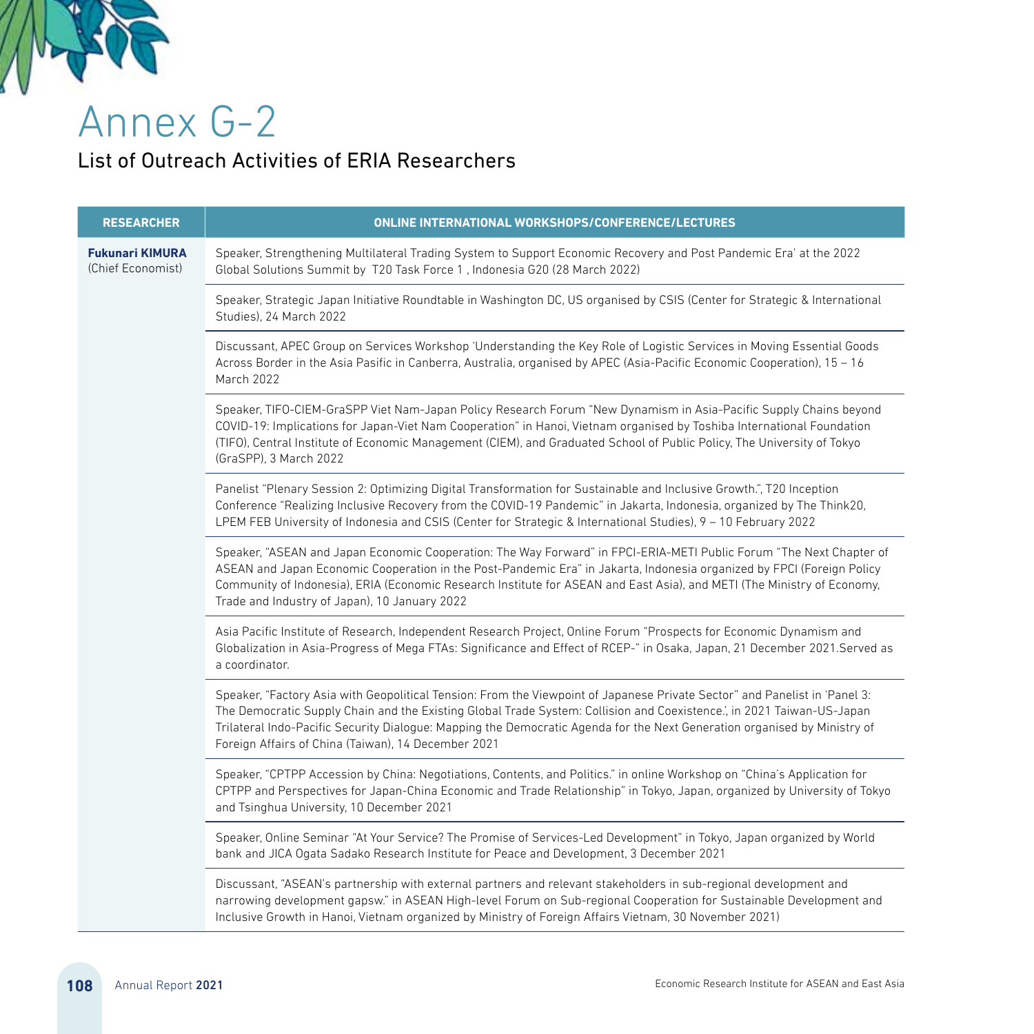

Annex G-2

## List of Outreach Activities of ERIA Researchers

| <b>RESEARCHER</b>                           | ONLINE INTERNATIONAL WORKSHOPS/CONFERENCE/LECTURES                                                                                                                                                                                                                                                                                                                                                                                       |
|---------------------------------------------|------------------------------------------------------------------------------------------------------------------------------------------------------------------------------------------------------------------------------------------------------------------------------------------------------------------------------------------------------------------------------------------------------------------------------------------|
| <b>Fukunari KIMURA</b><br>(Chief Economist) | Speaker, Strengthening Multilateral Trading System to Support Economic Recovery and Post Pandemic Era' at the 2022<br>Global Solutions Summit by T20 Task Force 1, Indonesia G20 (28 March 2022)                                                                                                                                                                                                                                         |
|                                             | Speaker, Strategic Japan Initiative Roundtable in Washington DC, US organised by CSIS (Center for Strategic & International<br>Studies), 24 March 2022                                                                                                                                                                                                                                                                                   |
|                                             | Discussant, APEC Group on Services Workshop 'Understanding the Key Role of Logistic Services in Moving Essential Goods<br>Across Border in the Asia Pasific in Canberra, Australia, organised by APEC (Asia-Pacific Economic Cooperation), 15 - 16<br>March 2022                                                                                                                                                                         |
|                                             | Speaker, TIFO-CIEM-GraSPP Viet Nam-Japan Policy Research Forum "New Dynamism in Asia-Pacific Supply Chains beyond<br>COVID-19: Implications for Japan-Viet Nam Cooperation" in Hanoi, Vietnam organised by Toshiba International Foundation<br>(TIFO), Central Institute of Economic Management (CIEM), and Graduated School of Public Policy, The University of Tokyo<br>(GraSPP), 3 March 2022                                         |
|                                             | Panelist "Plenary Session 2: Optimizing Digital Transformation for Sustainable and Inclusive Growth.", T20 Inception<br>Conference "Realizing Inclusive Recovery from the COVID-19 Pandemic" in Jakarta, Indonesia, organized by The Think20,<br>LPEM FEB University of Indonesia and CSIS (Center for Strategic & International Studies), 9 - 10 February 2022                                                                          |
|                                             | Speaker, "ASEAN and Japan Economic Cooperation: The Way Forward" in FPCI-ERIA-METI Public Forum "The Next Chapter of<br>ASEAN and Japan Economic Cooperation in the Post-Pandemic Era" in Jakarta, Indonesia organized by FPCI (Foreign Policy<br>Community of Indonesia), ERIA (Economic Research Institute for ASEAN and East Asia), and METI (The Ministry of Economy,<br>Trade and Industry of Japan), 10 January 2022               |
|                                             | Asia Pacific Institute of Research, Independent Research Project, Online Forum "Prospects for Economic Dynamism and<br>Globalization in Asia-Progress of Mega FTAs: Significance and Effect of RCEP-" in Osaka, Japan, 21 December 2021.Served as<br>a coordinator.                                                                                                                                                                      |
|                                             | Speaker, "Factory Asia with Geopolitical Tension: From the Viewpoint of Japanese Private Sector" and Panelist in 'Panel 3:<br>The Democratic Supply Chain and the Existing Global Trade System: Collision and Coexistence.', in 2021 Taiwan-US-Japan<br>Trilateral Indo-Pacific Security Dialogue: Mapping the Democratic Agenda for the Next Generation organised by Ministry of<br>Foreign Affairs of China (Taiwan), 14 December 2021 |
|                                             | Speaker, "CPTPP Accession by China: Negotiations, Contents, and Politics." in online Workshop on "China's Application for<br>CPTPP and Perspectives for Japan-China Economic and Trade Relationship" in Tokyo, Japan, organized by University of Tokyo<br>and Tsinghua University, 10 December 2021                                                                                                                                      |
|                                             | Speaker, Online Seminar "At Your Service? The Promise of Services-Led Development" in Tokyo, Japan organized by World<br>bank and JICA Ogata Sadako Research Institute for Peace and Development, 3 December 2021                                                                                                                                                                                                                        |
|                                             | Discussant, "ASEAN's partnership with external partners and relevant stakeholders in sub-regional development and<br>narrowing development gapsw." in ASEAN High-level Forum on Sub-regional Cooperation for Sustainable Development and<br>Inclusive Growth in Hanoi, Vietnam organized by Ministry of Foreign Affairs Vietnam, 30 November 2021)                                                                                       |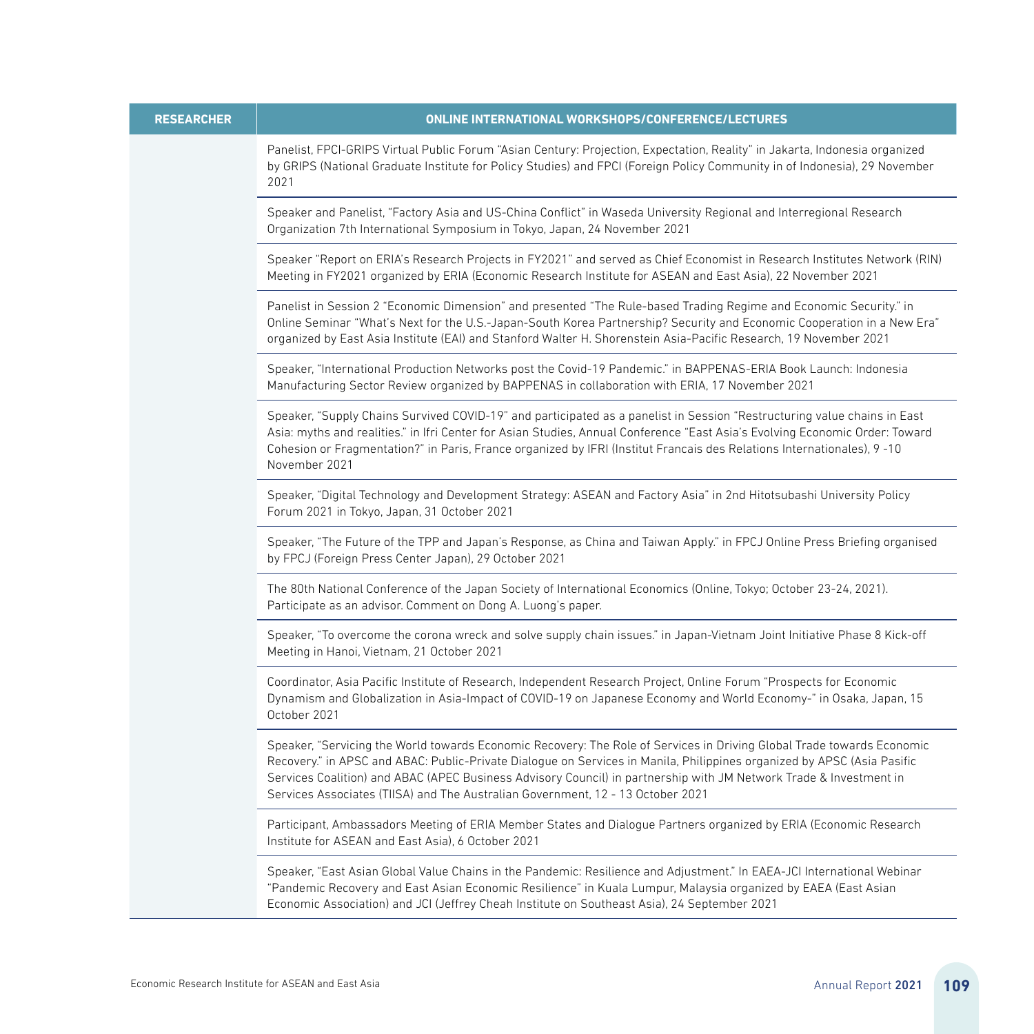| <b>RESEARCHER</b> | <b>ONLINE INTERNATIONAL WORKSHOPS/CONFERENCE/LECTURES</b>                                                                                                                                                                                                                                                                                                                                                                                                  |
|-------------------|------------------------------------------------------------------------------------------------------------------------------------------------------------------------------------------------------------------------------------------------------------------------------------------------------------------------------------------------------------------------------------------------------------------------------------------------------------|
|                   | Panelist, FPCI-GRIPS Virtual Public Forum "Asian Century: Projection, Expectation, Reality" in Jakarta, Indonesia organized<br>by GRIPS (National Graduate Institute for Policy Studies) and FPCI (Foreign Policy Community in of Indonesia), 29 November<br>2021                                                                                                                                                                                          |
|                   | Speaker and Panelist, "Factory Asia and US-China Conflict" in Waseda University Regional and Interregional Research<br>Organization 7th International Symposium in Tokyo, Japan, 24 November 2021                                                                                                                                                                                                                                                          |
|                   | Speaker "Report on ERIA's Research Projects in FY2021" and served as Chief Economist in Research Institutes Network (RIN)<br>Meeting in FY2021 organized by ERIA (Economic Research Institute for ASEAN and East Asia), 22 November 2021                                                                                                                                                                                                                   |
|                   | Panelist in Session 2 "Economic Dimension" and presented "The Rule-based Trading Regime and Economic Security." in<br>Online Seminar "What's Next for the U.S.-Japan-South Korea Partnership? Security and Economic Cooperation in a New Era"<br>organized by East Asia Institute (EAI) and Stanford Walter H. Shorenstein Asia-Pacific Research, 19 November 2021                                                                                         |
|                   | Speaker, "International Production Networks post the Covid-19 Pandemic." in BAPPENAS-ERIA Book Launch: Indonesia<br>Manufacturing Sector Review organized by BAPPENAS in collaboration with ERIA, 17 November 2021                                                                                                                                                                                                                                         |
|                   | Speaker, "Supply Chains Survived COVID-19" and participated as a panelist in Session "Restructuring value chains in East<br>Asia: myths and realities." in Ifri Center for Asian Studies, Annual Conference "East Asia's Evolving Economic Order: Toward<br>Cohesion or Fragmentation?" in Paris, France organized by IFRI (Institut Francais des Relations Internationales), 9-10<br>November 2021                                                        |
|                   | Speaker, "Digital Technology and Development Strategy: ASEAN and Factory Asia" in 2nd Hitotsubashi University Policy<br>Forum 2021 in Tokyo, Japan, 31 October 2021                                                                                                                                                                                                                                                                                        |
|                   | Speaker, "The Future of the TPP and Japan's Response, as China and Taiwan Apply." in FPCJ Online Press Briefing organised<br>by FPCJ (Foreign Press Center Japan), 29 October 2021                                                                                                                                                                                                                                                                         |
|                   | The 80th National Conference of the Japan Society of International Economics (Online, Tokyo; October 23-24, 2021).<br>Participate as an advisor. Comment on Dong A. Luong's paper.                                                                                                                                                                                                                                                                         |
|                   | Speaker, "To overcome the corona wreck and solve supply chain issues." in Japan-Vietnam Joint Initiative Phase 8 Kick-off<br>Meeting in Hanoi, Vietnam, 21 October 2021                                                                                                                                                                                                                                                                                    |
|                   | Coordinator, Asia Pacific Institute of Research, Independent Research Project, Online Forum "Prospects for Economic<br>Dynamism and Globalization in Asia-Impact of COVID-19 on Japanese Economy and World Economy-" in Osaka, Japan, 15<br>October 2021                                                                                                                                                                                                   |
|                   | Speaker, "Servicing the World towards Economic Recovery: The Role of Services in Driving Global Trade towards Economic<br>Recovery." in APSC and ABAC: Public-Private Dialogue on Services in Manila, Philippines organized by APSC (Asia Pasific<br>Services Coalition) and ABAC (APEC Business Advisory Council) in partnership with JM Network Trade & Investment in<br>Services Associates (TIISA) and The Australian Government, 12 - 13 October 2021 |
|                   | Participant, Ambassadors Meeting of ERIA Member States and Dialogue Partners organized by ERIA (Economic Research<br>Institute for ASEAN and East Asia), 6 October 2021                                                                                                                                                                                                                                                                                    |
|                   | Speaker, "East Asian Global Value Chains in the Pandemic: Resilience and Adjustment." In EAEA-JCI International Webinar<br>"Pandemic Recovery and East Asian Economic Resilience" in Kuala Lumpur, Malaysia organized by EAEA (East Asian<br>Economic Association) and JCI (Jeffrey Cheah Institute on Southeast Asia), 24 September 2021                                                                                                                  |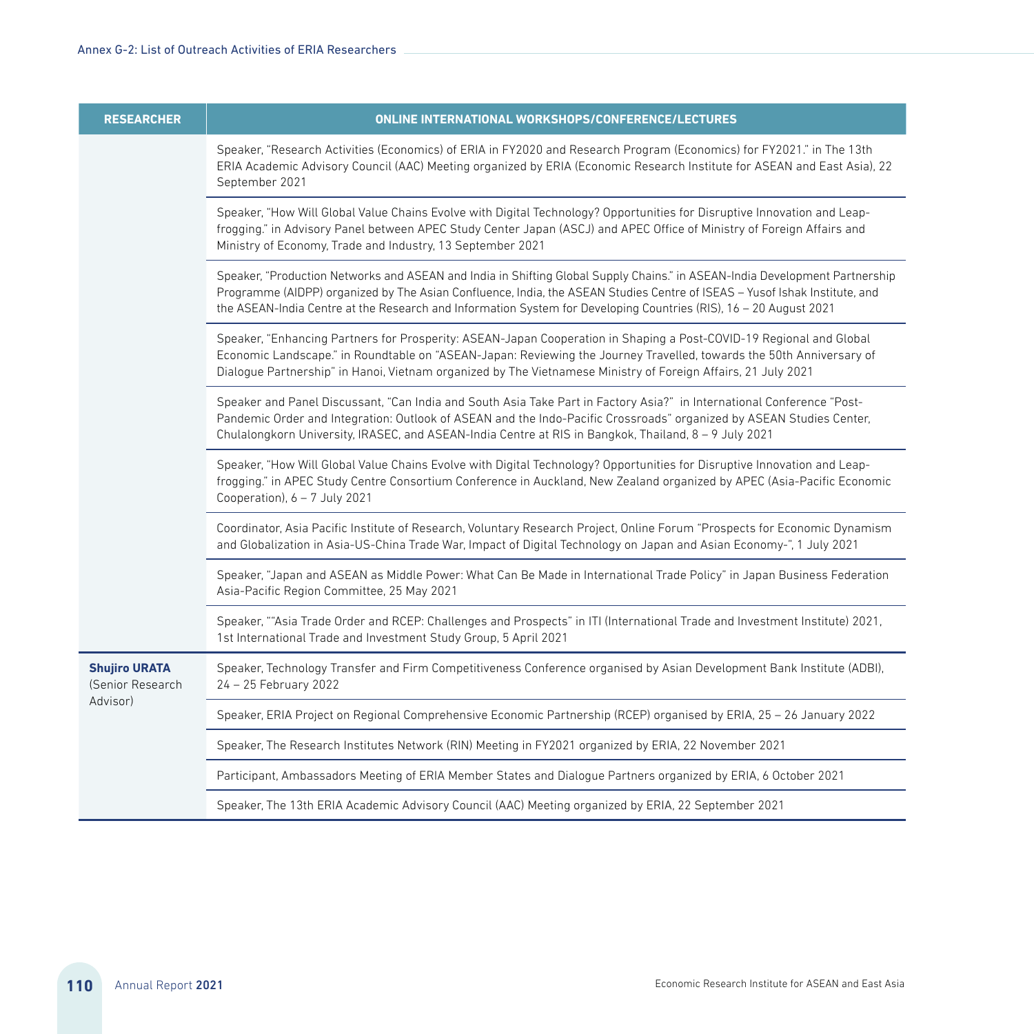| <b>RESEARCHER</b>                                    | <b>ONLINE INTERNATIONAL WORKSHOPS/CONFERENCE/LECTURES</b>                                                                                                                                                                                                                                                                                                                      |
|------------------------------------------------------|--------------------------------------------------------------------------------------------------------------------------------------------------------------------------------------------------------------------------------------------------------------------------------------------------------------------------------------------------------------------------------|
|                                                      | Speaker, "Research Activities (Economics) of ERIA in FY2020 and Research Program (Economics) for FY2021." in The 13th<br>ERIA Academic Advisory Council (AAC) Meeting organized by ERIA (Economic Research Institute for ASEAN and East Asia), 22<br>September 2021                                                                                                            |
|                                                      | Speaker, "How Will Global Value Chains Evolve with Digital Technology? Opportunities for Disruptive Innovation and Leap-<br>frogging." in Advisory Panel between APEC Study Center Japan (ASCJ) and APEC Office of Ministry of Foreign Affairs and<br>Ministry of Economy, Trade and Industry, 13 September 2021                                                               |
|                                                      | Speaker, "Production Networks and ASEAN and India in Shifting Global Supply Chains." in ASEAN-India Development Partnership<br>Programme (AIDPP) organized by The Asian Confluence, India, the ASEAN Studies Centre of ISEAS - Yusof Ishak Institute, and<br>the ASEAN-India Centre at the Research and Information System for Developing Countries (RIS), 16 - 20 August 2021 |
|                                                      | Speaker, "Enhancing Partners for Prosperity: ASEAN-Japan Cooperation in Shaping a Post-COVID-19 Regional and Global<br>Economic Landscape." in Roundtable on "ASEAN-Japan: Reviewing the Journey Travelled, towards the 50th Anniversary of<br>Dialogue Partnership" in Hanoi, Vietnam organized by The Vietnamese Ministry of Foreign Affairs, 21 July 2021                   |
|                                                      | Speaker and Panel Discussant, "Can India and South Asia Take Part in Factory Asia?" in International Conference "Post-<br>Pandemic Order and Integration: Outlook of ASEAN and the Indo-Pacific Crossroads" organized by ASEAN Studies Center,<br>Chulalongkorn University, IRASEC, and ASEAN-India Centre at RIS in Bangkok, Thailand, 8 - 9 July 2021                        |
|                                                      | Speaker, "How Will Global Value Chains Evolve with Digital Technology? Opportunities for Disruptive Innovation and Leap-<br>frogging." in APEC Study Centre Consortium Conference in Auckland, New Zealand organized by APEC (Asia-Pacific Economic<br>Cooperation), $6 - 7$ July 2021                                                                                         |
|                                                      | Coordinator, Asia Pacific Institute of Research, Voluntary Research Project, Online Forum "Prospects for Economic Dynamism<br>and Globalization in Asia-US-China Trade War, Impact of Digital Technology on Japan and Asian Economy-", 1 July 2021                                                                                                                             |
|                                                      | Speaker, "Japan and ASEAN as Middle Power: What Can Be Made in International Trade Policy" in Japan Business Federation<br>Asia-Pacific Region Committee, 25 May 2021                                                                                                                                                                                                          |
|                                                      | Speaker, ""Asia Trade Order and RCEP: Challenges and Prospects" in ITI (International Trade and Investment Institute) 2021,<br>1st International Trade and Investment Study Group, 5 April 2021                                                                                                                                                                                |
| <b>Shujiro URATA</b><br>(Senior Research<br>Advisor) | Speaker, Technology Transfer and Firm Competitiveness Conference organised by Asian Development Bank Institute (ADBI),<br>24 - 25 February 2022                                                                                                                                                                                                                                |
|                                                      | Speaker, ERIA Project on Regional Comprehensive Economic Partnership (RCEP) organised by ERIA, 25 - 26 January 2022                                                                                                                                                                                                                                                            |
|                                                      | Speaker, The Research Institutes Network (RIN) Meeting in FY2021 organized by ERIA, 22 November 2021                                                                                                                                                                                                                                                                           |
|                                                      | Participant, Ambassadors Meeting of ERIA Member States and Dialogue Partners organized by ERIA, 6 October 2021                                                                                                                                                                                                                                                                 |
|                                                      | Speaker, The 13th ERIA Academic Advisory Council (AAC) Meeting organized by ERIA, 22 September 2021                                                                                                                                                                                                                                                                            |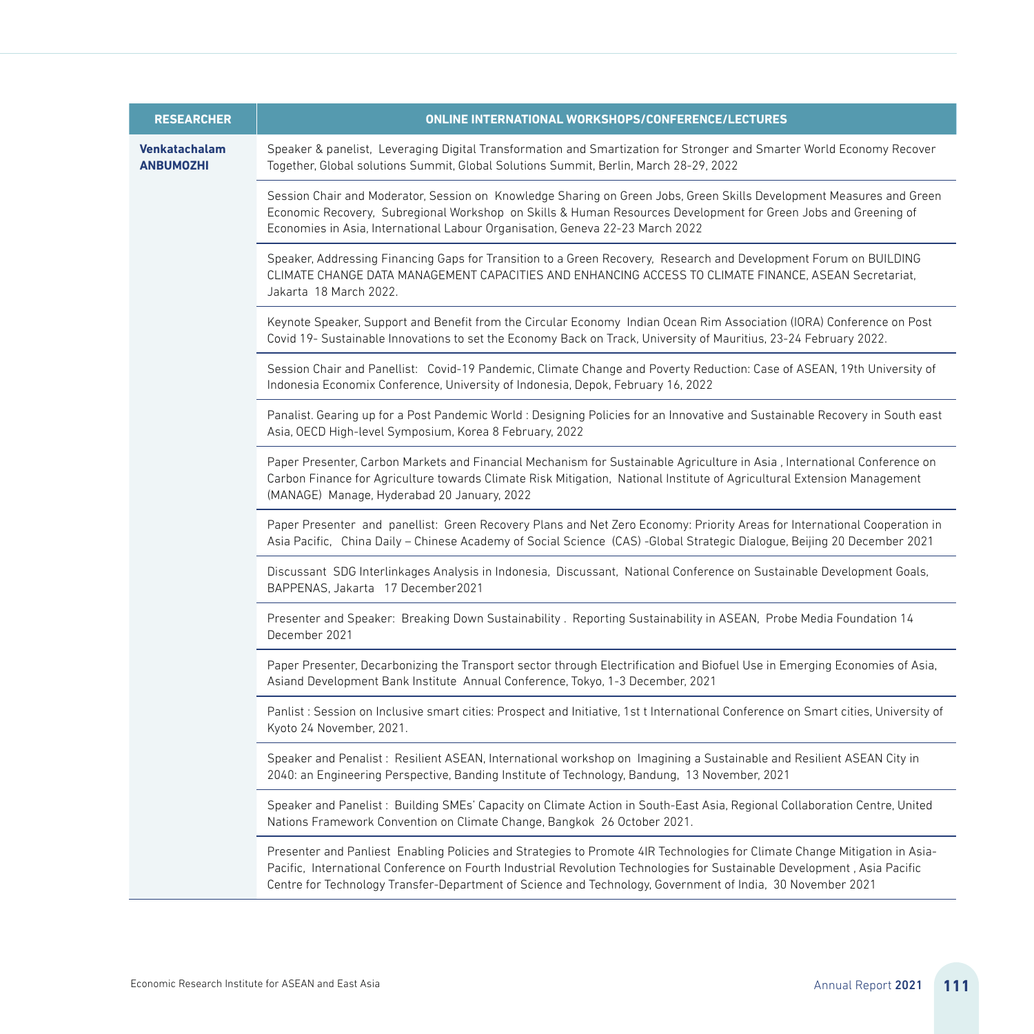| <b>RESEARCHER</b>                 | ONLINE INTERNATIONAL WORKSHOPS/CONFERENCE/LECTURES                                                                                                                                                                                                                                                                                                                   |
|-----------------------------------|----------------------------------------------------------------------------------------------------------------------------------------------------------------------------------------------------------------------------------------------------------------------------------------------------------------------------------------------------------------------|
| Venkatachalam<br><b>ANBUMOZHI</b> | Speaker & panelist, Leveraging Digital Transformation and Smartization for Stronger and Smarter World Economy Recover<br>Together, Global solutions Summit, Global Solutions Summit, Berlin, March 28-29, 2022                                                                                                                                                       |
|                                   | Session Chair and Moderator, Session on Knowledge Sharing on Green Jobs, Green Skills Development Measures and Green<br>Economic Recovery, Subregional Workshop on Skills & Human Resources Development for Green Jobs and Greening of<br>Economies in Asia, International Labour Organisation, Geneva 22-23 March 2022                                              |
|                                   | Speaker, Addressing Financing Gaps for Transition to a Green Recovery, Research and Development Forum on BUILDING<br>CLIMATE CHANGE DATA MANAGEMENT CAPACITIES AND ENHANCING ACCESS TO CLIMATE FINANCE, ASEAN Secretariat,<br>Jakarta 18 March 2022.                                                                                                                 |
|                                   | Keynote Speaker, Support and Benefit from the Circular Economy Indian Ocean Rim Association (IORA) Conference on Post<br>Covid 19- Sustainable Innovations to set the Economy Back on Track, University of Mauritius, 23-24 February 2022.                                                                                                                           |
|                                   | Session Chair and Panellist: Covid-19 Pandemic, Climate Change and Poverty Reduction: Case of ASEAN, 19th University of<br>Indonesia Economix Conference, University of Indonesia, Depok, February 16, 2022                                                                                                                                                          |
|                                   | Panalist. Gearing up for a Post Pandemic World: Designing Policies for an Innovative and Sustainable Recovery in South east<br>Asia, OECD High-level Symposium, Korea 8 February, 2022                                                                                                                                                                               |
|                                   | Paper Presenter, Carbon Markets and Financial Mechanism for Sustainable Agriculture in Asia, International Conference on<br>Carbon Finance for Agriculture towards Climate Risk Mitigation, National Institute of Agricultural Extension Management<br>(MANAGE) Manage, Hyderabad 20 January, 2022                                                                   |
|                                   | Paper Presenter and panellist: Green Recovery Plans and Net Zero Economy: Priority Areas for International Cooperation in<br>Asia Pacific, China Daily – Chinese Academy of Social Science (CAS) -Global Strategic Dialogue, Beijing 20 December 2021                                                                                                                |
|                                   | Discussant SDG Interlinkages Analysis in Indonesia, Discussant, National Conference on Sustainable Development Goals,<br>BAPPENAS, Jakarta 17 December2021                                                                                                                                                                                                           |
|                                   | Presenter and Speaker: Breaking Down Sustainability. Reporting Sustainability in ASEAN, Probe Media Foundation 14<br>December 2021                                                                                                                                                                                                                                   |
|                                   | Paper Presenter, Decarbonizing the Transport sector through Electrification and Biofuel Use in Emerging Economies of Asia,<br>Asiand Development Bank Institute Annual Conference, Tokyo, 1-3 December, 2021                                                                                                                                                         |
|                                   | Panlist: Session on Inclusive smart cities: Prospect and Initiative, 1st t International Conference on Smart cities, University of<br>Kyoto 24 November, 2021.                                                                                                                                                                                                       |
|                                   | Speaker and Penalist: Resilient ASEAN, International workshop on Imagining a Sustainable and Resilient ASEAN City in<br>2040: an Engineering Perspective, Banding Institute of Technology, Bandung, 13 November, 2021                                                                                                                                                |
|                                   | Speaker and Panelist: Building SMEs' Capacity on Climate Action in South-East Asia, Regional Collaboration Centre, United<br>Nations Framework Convention on Climate Change, Bangkok 26 October 2021.                                                                                                                                                                |
|                                   | Presenter and Panliest Enabling Policies and Strategies to Promote 4IR Technologies for Climate Change Mitigation in Asia-<br>Pacific, International Conference on Fourth Industrial Revolution Technologies for Sustainable Development, Asia Pacific<br>Centre for Technology Transfer-Department of Science and Technology, Government of India, 30 November 2021 |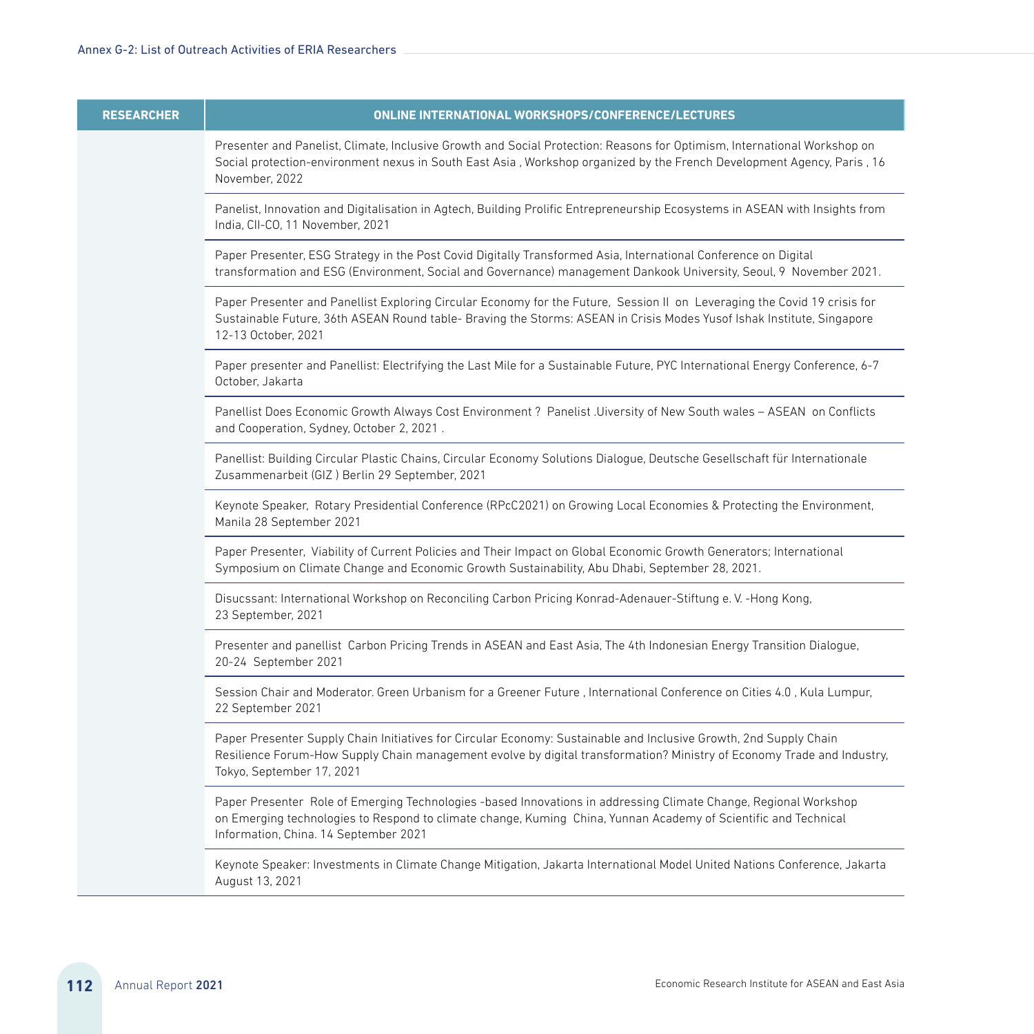| <b>RESEARCHER</b> | <b>ONLINE INTERNATIONAL WORKSHOPS/CONFERENCE/LECTURES</b>                                                                                                                                                                                                                   |
|-------------------|-----------------------------------------------------------------------------------------------------------------------------------------------------------------------------------------------------------------------------------------------------------------------------|
|                   | Presenter and Panelist, Climate, Inclusive Growth and Social Protection: Reasons for Optimism, International Workshop on<br>Social protection-environment nexus in South East Asia, Workshop organized by the French Development Agency, Paris, 16<br>November, 2022        |
|                   | Panelist, Innovation and Digitalisation in Agtech, Building Prolific Entrepreneurship Ecosystems in ASEAN with Insights from<br>India, CII-CO, 11 November, 2021                                                                                                            |
|                   | Paper Presenter, ESG Strategy in the Post Covid Digitally Transformed Asia, International Conference on Digital<br>transformation and ESG (Environment, Social and Governance) management Dankook University, Seoul, 9 November 2021.                                       |
|                   | Paper Presenter and Panellist Exploring Circular Economy for the Future, Session II on Leveraging the Covid 19 crisis for<br>Sustainable Future, 36th ASEAN Round table- Braving the Storms: ASEAN in Crisis Modes Yusof Ishak Institute, Singapore<br>12-13 October, 2021  |
|                   | Paper presenter and Panellist: Electrifying the Last Mile for a Sustainable Future, PYC International Energy Conference, 6-7<br>October, Jakarta                                                                                                                            |
|                   | Panellist Does Economic Growth Always Cost Environment? Panelist .Uiversity of New South wales - ASEAN on Conflicts<br>and Cooperation, Sydney, October 2, 2021.                                                                                                            |
|                   | Panellist: Building Circular Plastic Chains, Circular Economy Solutions Dialogue, Deutsche Gesellschaft für Internationale<br>Zusammenarbeit (GIZ) Berlin 29 September, 2021                                                                                                |
|                   | Keynote Speaker, Rotary Presidential Conference (RPcC2021) on Growing Local Economies & Protecting the Environment,<br>Manila 28 September 2021                                                                                                                             |
|                   | Paper Presenter, Viability of Current Policies and Their Impact on Global Economic Growth Generators; International<br>Symposium on Climate Change and Economic Growth Sustainability, Abu Dhabi, September 28, 2021.                                                       |
|                   | Disucssant: International Workshop on Reconciling Carbon Pricing Konrad-Adenauer-Stiftung e.V. -Hong Kong,<br>23 September, 2021                                                                                                                                            |
|                   | Presenter and panellist Carbon Pricing Trends in ASEAN and East Asia, The 4th Indonesian Energy Transition Dialogue,<br>20-24 September 2021                                                                                                                                |
|                   | Session Chair and Moderator. Green Urbanism for a Greener Future, International Conference on Cities 4.0, Kula Lumpur,<br>22 September 2021                                                                                                                                 |
|                   | Paper Presenter Supply Chain Initiatives for Circular Economy: Sustainable and Inclusive Growth, 2nd Supply Chain<br>Resilience Forum-How Supply Chain management evolve by digital transformation? Ministry of Economy Trade and Industry,<br>Tokyo, September 17, 2021    |
|                   | Paper Presenter Role of Emerging Technologies-based Innovations in addressing Climate Change, Regional Workshop<br>on Emerging technologies to Respond to climate change, Kuming China, Yunnan Academy of Scientific and Technical<br>Information, China. 14 September 2021 |
|                   | Keynote Speaker: Investments in Climate Change Mitigation, Jakarta International Model United Nations Conference, Jakarta<br>August 13, 2021                                                                                                                                |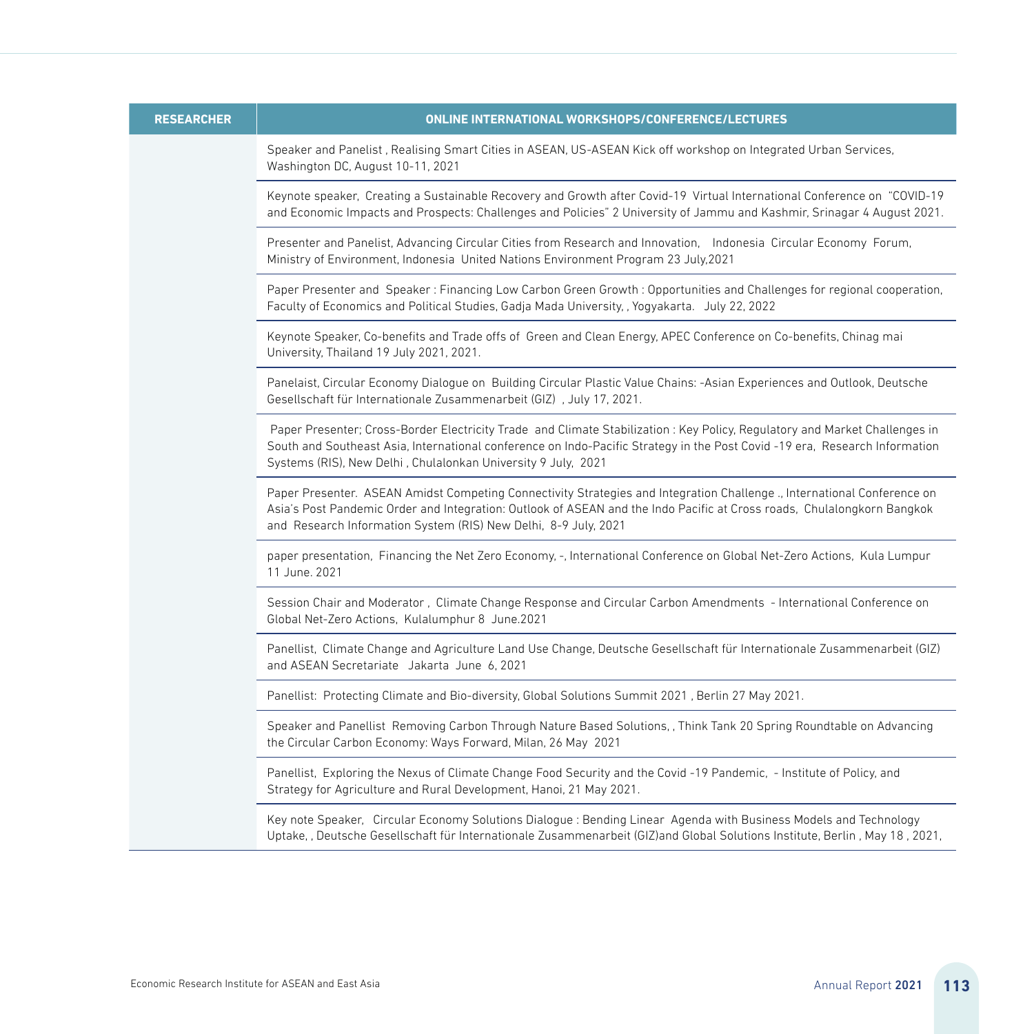| <b>RESEARCHER</b> | <b>ONLINE INTERNATIONAL WORKSHOPS/CONFERENCE/LECTURES</b>                                                                                                                                                                                                                                                                 |
|-------------------|---------------------------------------------------------------------------------------------------------------------------------------------------------------------------------------------------------------------------------------------------------------------------------------------------------------------------|
|                   | Speaker and Panelist, Realising Smart Cities in ASEAN, US-ASEAN Kick off workshop on Integrated Urban Services,<br>Washington DC, August 10-11, 2021                                                                                                                                                                      |
|                   | Keynote speaker, Creating a Sustainable Recovery and Growth after Covid-19 Virtual International Conference on "COVID-19<br>and Economic Impacts and Prospects: Challenges and Policies" 2 University of Jammu and Kashmir, Srinagar 4 August 2021.                                                                       |
|                   | Presenter and Panelist, Advancing Circular Cities from Research and Innovation, Indonesia Circular Economy Forum,<br>Ministry of Environment, Indonesia United Nations Environment Program 23 July, 2021                                                                                                                  |
|                   | Paper Presenter and Speaker: Financing Low Carbon Green Growth: Opportunities and Challenges for regional cooperation,<br>Faculty of Economics and Political Studies, Gadja Mada University, , Yogyakarta. July 22, 2022                                                                                                  |
|                   | Keynote Speaker, Co-benefits and Trade offs of Green and Clean Energy, APEC Conference on Co-benefits, Chinag mai<br>University, Thailand 19 July 2021, 2021.                                                                                                                                                             |
|                   | Panelaist, Circular Economy Dialogue on Building Circular Plastic Value Chains: -Asian Experiences and Outlook, Deutsche<br>Gesellschaft für Internationale Zusammenarbeit (GIZ), July 17, 2021.                                                                                                                          |
|                   | Paper Presenter; Cross-Border Electricity Trade and Climate Stabilization: Key Policy, Regulatory and Market Challenges in<br>South and Southeast Asia, International conference on Indo-Pacific Strategy in the Post Covid-19 era, Research Information<br>Systems (RIS), New Delhi, Chulalonkan University 9 July, 2021 |
|                   | Paper Presenter. ASEAN Amidst Competing Connectivity Strategies and Integration Challenge., International Conference on<br>Asia's Post Pandemic Order and Integration: Outlook of ASEAN and the Indo Pacific at Cross roads, Chulalongkorn Bangkok<br>and Research Information System (RIS) New Delhi, 8-9 July, 2021     |
|                   | paper presentation, Financing the Net Zero Economy, -, International Conference on Global Net-Zero Actions, Kula Lumpur<br>11 June, 2021                                                                                                                                                                                  |
|                   | Session Chair and Moderator, Climate Change Response and Circular Carbon Amendments - International Conference on<br>Global Net-Zero Actions, Kulalumphur 8 June.2021                                                                                                                                                     |
|                   | Panellist, Climate Change and Agriculture Land Use Change, Deutsche Gesellschaft für Internationale Zusammenarbeit (GIZ)<br>and ASEAN Secretariate Jakarta June 6, 2021                                                                                                                                                   |
|                   | Panellist: Protecting Climate and Bio-diversity, Global Solutions Summit 2021, Berlin 27 May 2021.                                                                                                                                                                                                                        |
|                   | Speaker and Panellist Removing Carbon Through Nature Based Solutions, , Think Tank 20 Spring Roundtable on Advancing<br>the Circular Carbon Economy: Ways Forward, Milan, 26 May 2021                                                                                                                                     |
|                   | Panellist, Exploring the Nexus of Climate Change Food Security and the Covid-19 Pandemic, - Institute of Policy, and<br>Strategy for Agriculture and Rural Development, Hanoi, 21 May 2021.                                                                                                                               |
|                   | Key note Speaker, Circular Economy Solutions Dialogue: Bending Linear Agenda with Business Models and Technology<br>Uptake, , Deutsche Gesellschaft für Internationale Zusammenarbeit (GIZ)and Global Solutions Institute, Berlin, May 18, 2021,                                                                          |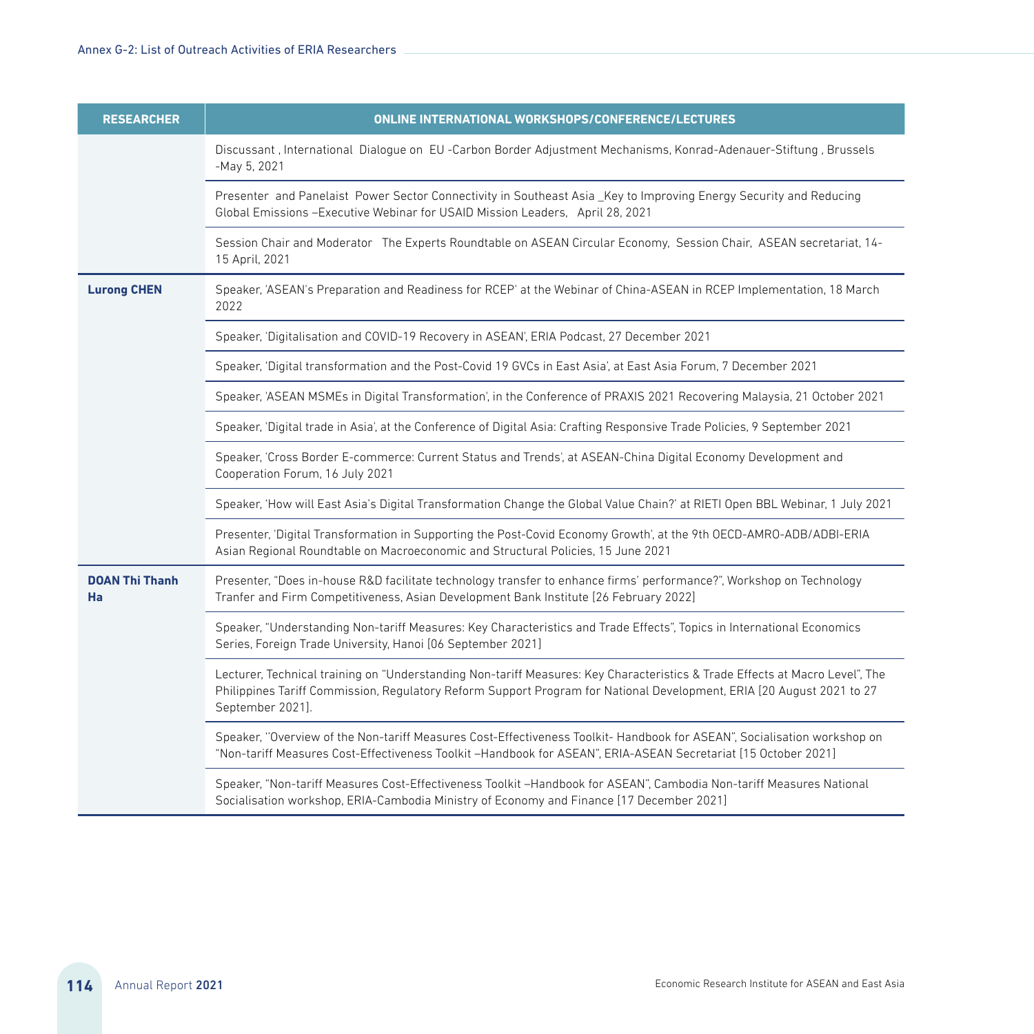| <b>RESEARCHER</b>           | <b>ONLINE INTERNATIONAL WORKSHOPS/CONFERENCE/LECTURES</b>                                                                                                                                                                                                                 |
|-----------------------------|---------------------------------------------------------------------------------------------------------------------------------------------------------------------------------------------------------------------------------------------------------------------------|
|                             | Discussant, International Dialogue on EU -Carbon Border Adjustment Mechanisms, Konrad-Adenauer-Stiftung, Brussels<br>-May 5, 2021                                                                                                                                         |
|                             | Presenter and Panelaist Power Sector Connectivity in Southeast Asia_Key to Improving Energy Security and Reducing<br>Global Emissions - Executive Webinar for USAID Mission Leaders, April 28, 2021                                                                       |
|                             | Session Chair and Moderator The Experts Roundtable on ASEAN Circular Economy, Session Chair, ASEAN secretariat, 14-<br>15 April, 2021                                                                                                                                     |
| <b>Lurong CHEN</b>          | Speaker, 'ASEAN's Preparation and Readiness for RCEP' at the Webinar of China-ASEAN in RCEP Implementation, 18 March<br>2022                                                                                                                                              |
|                             | Speaker, 'Digitalisation and COVID-19 Recovery in ASEAN', ERIA Podcast, 27 December 2021                                                                                                                                                                                  |
|                             | Speaker, 'Digital transformation and the Post-Covid 19 GVCs in East Asia', at East Asia Forum, 7 December 2021                                                                                                                                                            |
|                             | Speaker, 'ASEAN MSMEs in Digital Transformation', in the Conference of PRAXIS 2021 Recovering Malaysia, 21 October 2021                                                                                                                                                   |
|                             | Speaker, 'Digital trade in Asia', at the Conference of Digital Asia: Crafting Responsive Trade Policies, 9 September 2021                                                                                                                                                 |
|                             | Speaker, 'Cross Border E-commerce: Current Status and Trends', at ASEAN-China Digital Economy Development and<br>Cooperation Forum, 16 July 2021                                                                                                                          |
|                             | Speaker, 'How will East Asia's Digital Transformation Change the Global Value Chain?' at RIETI Open BBL Webinar, 1 July 2021                                                                                                                                              |
|                             | Presenter, 'Digital Transformation in Supporting the Post-Covid Economy Growth', at the 9th OECD-AMRO-ADB/ADBI-ERIA<br>Asian Regional Roundtable on Macroeconomic and Structural Policies, 15 June 2021                                                                   |
| <b>DOAN Thi Thanh</b><br>Ha | Presenter, "Does in-house R&D facilitate technology transfer to enhance firms' performance?", Workshop on Technology<br>Tranfer and Firm Competitiveness, Asian Development Bank Institute [26 February 2022]                                                             |
|                             | Speaker, "Understanding Non-tariff Measures: Key Characteristics and Trade Effects", Topics in International Economics<br>Series, Foreign Trade University, Hanoi [06 September 2021]                                                                                     |
|                             | Lecturer, Technical training on "Understanding Non-tariff Measures: Key Characteristics & Trade Effects at Macro Level", The<br>Philippines Tariff Commission, Regulatory Reform Support Program for National Development, ERIA [20 August 2021 to 27<br>September 2021]. |
|                             | Speaker, "Overview of the Non-tariff Measures Cost-Effectiveness Toolkit-Handbook for ASEAN", Socialisation workshop on<br>"Non-tariff Measures Cost-Effectiveness Toolkit -Handbook for ASEAN", ERIA-ASEAN Secretariat [15 October 2021]                                 |
|                             | Speaker, "Non-tariff Measures Cost-Effectiveness Toolkit -Handbook for ASEAN", Cambodia Non-tariff Measures National<br>Socialisation workshop, ERIA-Cambodia Ministry of Economy and Finance [17 December 2021]                                                          |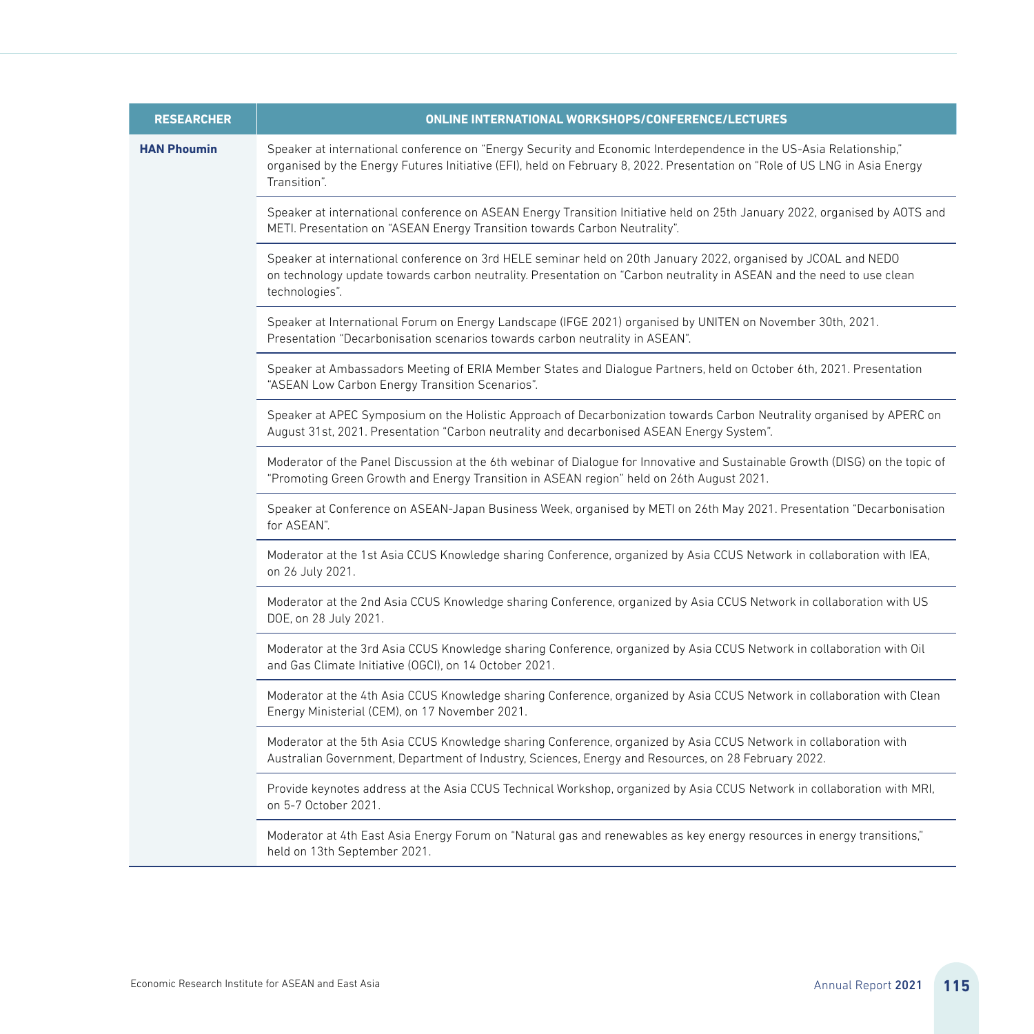| <b>RESEARCHER</b>  | <b>ONLINE INTERNATIONAL WORKSHOPS/CONFERENCE/LECTURES</b>                                                                                                                                                                                                        |
|--------------------|------------------------------------------------------------------------------------------------------------------------------------------------------------------------------------------------------------------------------------------------------------------|
| <b>HAN Phoumin</b> | Speaker at international conference on "Energy Security and Economic Interdependence in the US-Asia Relationship,"<br>organised by the Energy Futures Initiative (EFI), held on February 8, 2022. Presentation on "Role of US LNG in Asia Energy<br>Transition". |
|                    | Speaker at international conference on ASEAN Energy Transition Initiative held on 25th January 2022, organised by AOTS and<br>METI. Presentation on "ASEAN Energy Transition towards Carbon Neutrality".                                                         |
|                    | Speaker at international conference on 3rd HELE seminar held on 20th January 2022, organised by JCOAL and NEDO<br>on technology update towards carbon neutrality. Presentation on "Carbon neutrality in ASEAN and the need to use clean<br>technologies".        |
|                    | Speaker at International Forum on Energy Landscape (IFGE 2021) organised by UNITEN on November 30th, 2021.<br>Presentation "Decarbonisation scenarios towards carbon neutrality in ASEAN".                                                                       |
|                    | Speaker at Ambassadors Meeting of ERIA Member States and Dialogue Partners, held on October 6th, 2021. Presentation<br>"ASEAN Low Carbon Energy Transition Scenarios".                                                                                           |
|                    | Speaker at APEC Symposium on the Holistic Approach of Decarbonization towards Carbon Neutrality organised by APERC on<br>August 31st, 2021. Presentation "Carbon neutrality and decarbonised ASEAN Energy System".                                               |
|                    | Moderator of the Panel Discussion at the 6th webinar of Dialogue for Innovative and Sustainable Growth (DISG) on the topic of<br>"Promoting Green Growth and Energy Transition in ASEAN region" held on 26th August 2021.                                        |
|                    | Speaker at Conference on ASEAN-Japan Business Week, organised by METI on 26th May 2021. Presentation "Decarbonisation<br>for ASFAN".                                                                                                                             |
|                    | Moderator at the 1st Asia CCUS Knowledge sharing Conference, organized by Asia CCUS Network in collaboration with IEA,<br>on 26 July 2021.                                                                                                                       |
|                    | Moderator at the 2nd Asia CCUS Knowledge sharing Conference, organized by Asia CCUS Network in collaboration with US<br>DOE, on 28 July 2021.                                                                                                                    |
|                    | Moderator at the 3rd Asia CCUS Knowledge sharing Conference, organized by Asia CCUS Network in collaboration with Oil<br>and Gas Climate Initiative (OGCI), on 14 October 2021.                                                                                  |
|                    | Moderator at the 4th Asia CCUS Knowledge sharing Conference, organized by Asia CCUS Network in collaboration with Clean<br>Energy Ministerial (CEM), on 17 November 2021.                                                                                        |
|                    | Moderator at the 5th Asia CCUS Knowledge sharing Conference, organized by Asia CCUS Network in collaboration with<br>Australian Government, Department of Industry, Sciences, Energy and Resources, on 28 February 2022.                                         |
|                    | Provide keynotes address at the Asia CCUS Technical Workshop, organized by Asia CCUS Network in collaboration with MRI,<br>on 5-7 October 2021.                                                                                                                  |
|                    | Moderator at 4th East Asia Energy Forum on "Natural gas and renewables as key energy resources in energy transitions,"<br>held on 13th September 2021.                                                                                                           |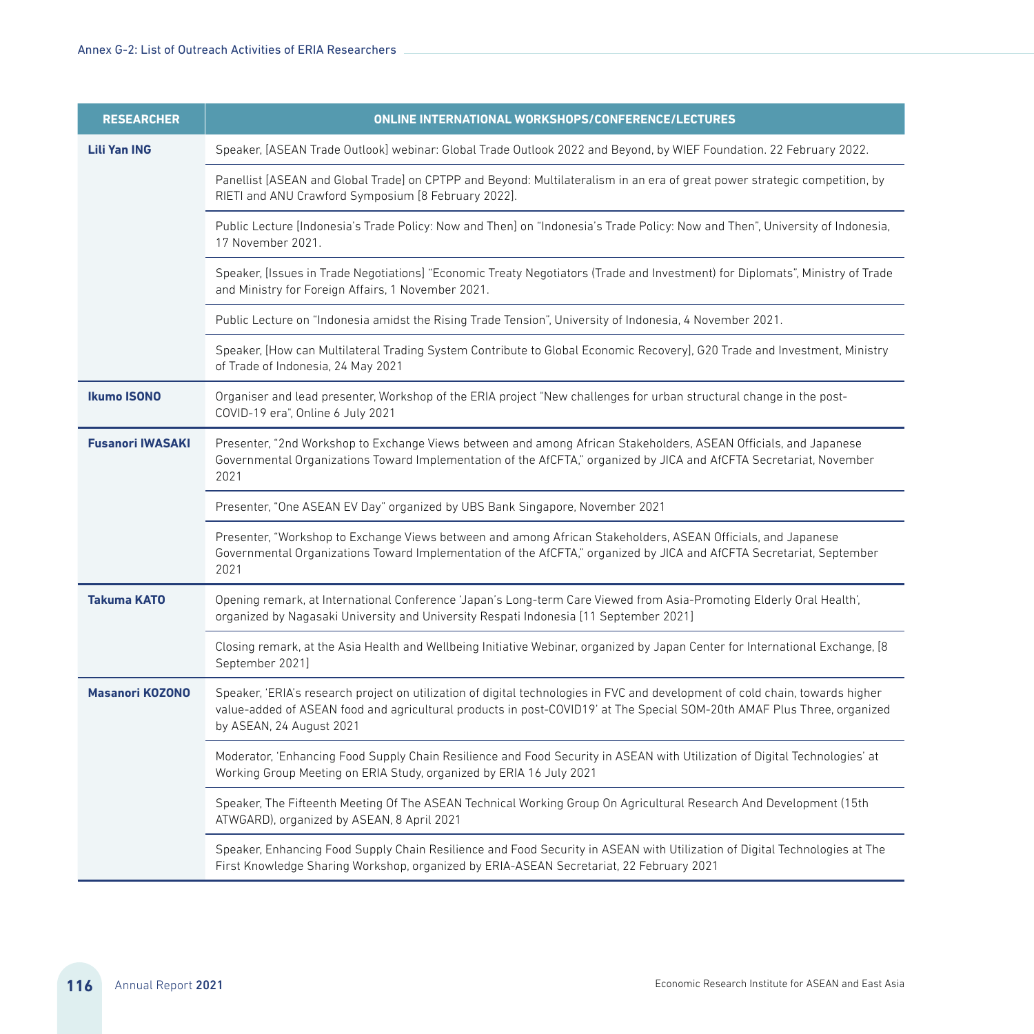| <b>RESEARCHER</b>       | <b>ONLINE INTERNATIONAL WORKSHOPS/CONFERENCE/LECTURES</b>                                                                                                                                                                                                                            |
|-------------------------|--------------------------------------------------------------------------------------------------------------------------------------------------------------------------------------------------------------------------------------------------------------------------------------|
| <b>Lili Yan ING</b>     | Speaker, [ASEAN Trade Outlook] webinar: Global Trade Outlook 2022 and Beyond, by WIEF Foundation. 22 February 2022.                                                                                                                                                                  |
|                         | Panellist [ASEAN and Global Trade] on CPTPP and Beyond: Multilateralism in an era of great power strategic competition, by<br>RIETI and ANU Crawford Symposium [8 February 2022].                                                                                                    |
|                         | Public Lecture [Indonesia's Trade Policy: Now and Then] on "Indonesia's Trade Policy: Now and Then", University of Indonesia,<br>17 November 2021.                                                                                                                                   |
|                         | Speaker, [Issues in Trade Negotiations] "Economic Treaty Negotiators (Trade and Investment) for Diplomats", Ministry of Trade<br>and Ministry for Foreign Affairs, 1 November 2021.                                                                                                  |
|                         | Public Lecture on "Indonesia amidst the Rising Trade Tension", University of Indonesia, 4 November 2021.                                                                                                                                                                             |
|                         | Speaker, [How can Multilateral Trading System Contribute to Global Economic Recovery], G20 Trade and Investment, Ministry<br>of Trade of Indonesia, 24 May 2021                                                                                                                      |
| <b>Ikumo ISONO</b>      | Organiser and lead presenter, Workshop of the ERIA project "New challenges for urban structural change in the post-<br>COVID-19 era", Online 6 July 2021                                                                                                                             |
| <b>Fusanori IWASAKI</b> | Presenter, "2nd Workshop to Exchange Views between and among African Stakeholders, ASEAN Officials, and Japanese<br>Governmental Organizations Toward Implementation of the AfCFTA," organized by JICA and AfCFTA Secretariat, November<br>2021                                      |
|                         | Presenter, "One ASEAN EV Day" organized by UBS Bank Singapore, November 2021                                                                                                                                                                                                         |
|                         | Presenter, "Workshop to Exchange Views between and among African Stakeholders, ASEAN Officials, and Japanese<br>Governmental Organizations Toward Implementation of the AfCFTA," organized by JICA and AfCFTA Secretariat, September<br>2021                                         |
| <b>Takuma KATO</b>      | Opening remark, at International Conference 'Japan's Long-term Care Viewed from Asia-Promoting Elderly Oral Health',<br>organized by Nagasaki University and University Respati Indonesia [11 September 2021]                                                                        |
|                         | Closing remark, at the Asia Health and Wellbeing Initiative Webinar, organized by Japan Center for International Exchange, [8<br>September 2021]                                                                                                                                     |
| <b>Masanori KOZONO</b>  | Speaker, 'ERIA's research project on utilization of digital technologies in FVC and development of cold chain, towards higher<br>value-added of ASEAN food and agricultural products in post-COVID19' at The Special SOM-20th AMAF Plus Three, organized<br>by ASEAN, 24 August 2021 |
|                         | Moderator, 'Enhancing Food Supply Chain Resilience and Food Security in ASEAN with Utilization of Digital Technologies' at<br>Working Group Meeting on ERIA Study, organized by ERIA 16 July 2021                                                                                    |
|                         | Speaker, The Fifteenth Meeting Of The ASEAN Technical Working Group On Agricultural Research And Development (15th<br>ATWGARD), organized by ASEAN, 8 April 2021                                                                                                                     |
|                         | Speaker, Enhancing Food Supply Chain Resilience and Food Security in ASEAN with Utilization of Digital Technologies at The<br>First Knowledge Sharing Workshop, organized by ERIA-ASEAN Secretariat, 22 February 2021                                                                |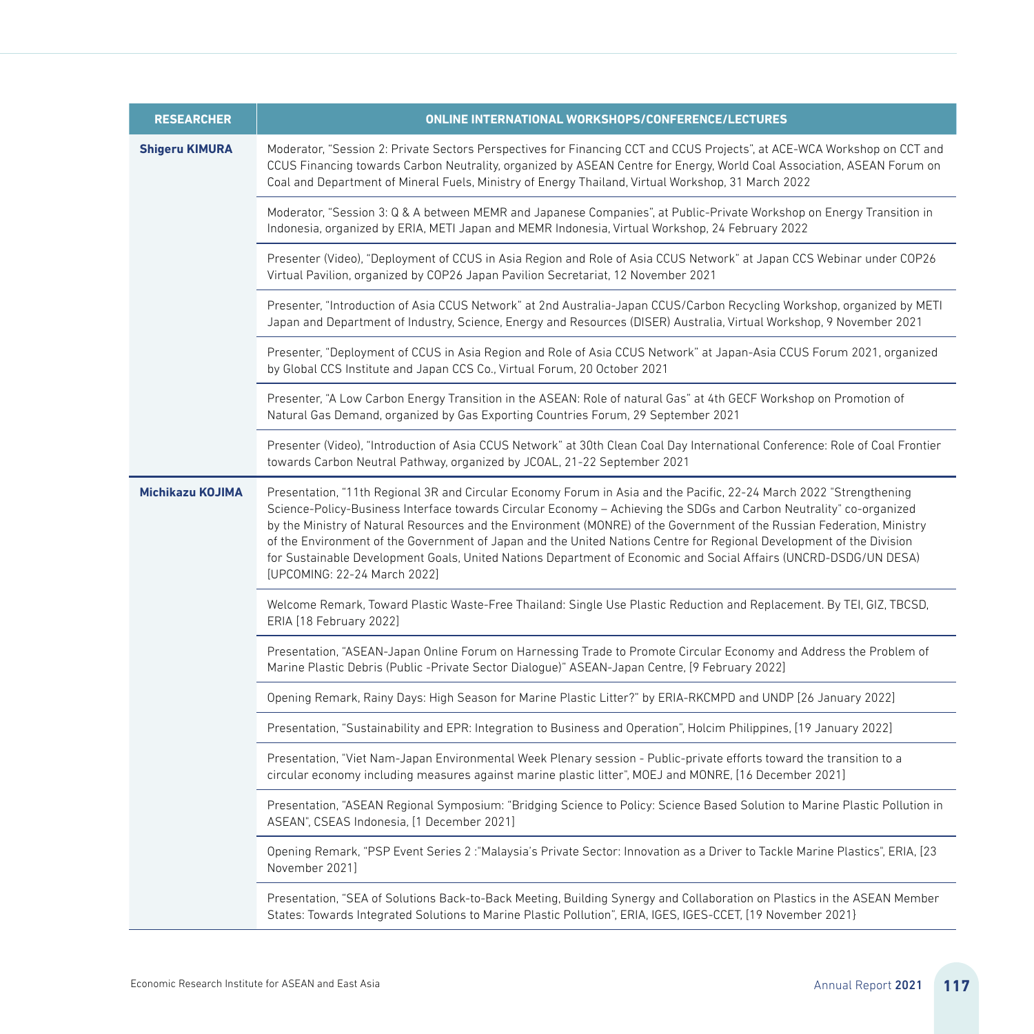| <b>RESEARCHER</b>       | <b>ONLINE INTERNATIONAL WORKSHOPS/CONFERENCE/LECTURES</b>                                                                                                                                                                                                                                                                                                                                                                                                                                                                                                                                                                                        |
|-------------------------|--------------------------------------------------------------------------------------------------------------------------------------------------------------------------------------------------------------------------------------------------------------------------------------------------------------------------------------------------------------------------------------------------------------------------------------------------------------------------------------------------------------------------------------------------------------------------------------------------------------------------------------------------|
| <b>Shigeru KIMURA</b>   | Moderator, "Session 2: Private Sectors Perspectives for Financing CCT and CCUS Projects", at ACE-WCA Workshop on CCT and<br>CCUS Financing towards Carbon Neutrality, organized by ASEAN Centre for Energy, World Coal Association, ASEAN Forum on<br>Coal and Department of Mineral Fuels, Ministry of Energy Thailand, Virtual Workshop, 31 March 2022                                                                                                                                                                                                                                                                                         |
|                         | Moderator, "Session 3: Q & A between MEMR and Japanese Companies", at Public-Private Workshop on Energy Transition in<br>Indonesia, organized by ERIA, METI Japan and MEMR Indonesia, Virtual Workshop, 24 February 2022                                                                                                                                                                                                                                                                                                                                                                                                                         |
|                         | Presenter (Video), "Deployment of CCUS in Asia Region and Role of Asia CCUS Network" at Japan CCS Webinar under COP26<br>Virtual Pavilion, organized by COP26 Japan Pavilion Secretariat, 12 November 2021                                                                                                                                                                                                                                                                                                                                                                                                                                       |
|                         | Presenter, "Introduction of Asia CCUS Network" at 2nd Australia-Japan CCUS/Carbon Recycling Workshop, organized by METI<br>Japan and Department of Industry, Science, Energy and Resources (DISER) Australia, Virtual Workshop, 9 November 2021                                                                                                                                                                                                                                                                                                                                                                                                  |
|                         | Presenter, "Deployment of CCUS in Asia Region and Role of Asia CCUS Network" at Japan-Asia CCUS Forum 2021, organized<br>by Global CCS Institute and Japan CCS Co., Virtual Forum, 20 October 2021                                                                                                                                                                                                                                                                                                                                                                                                                                               |
|                         | Presenter, "A Low Carbon Energy Transition in the ASEAN: Role of natural Gas" at 4th GECF Workshop on Promotion of<br>Natural Gas Demand, organized by Gas Exporting Countries Forum, 29 September 2021                                                                                                                                                                                                                                                                                                                                                                                                                                          |
|                         | Presenter (Video), "Introduction of Asia CCUS Network" at 30th Clean Coal Day International Conference: Role of Coal Frontier<br>towards Carbon Neutral Pathway, organized by JCOAL, 21-22 September 2021                                                                                                                                                                                                                                                                                                                                                                                                                                        |
| <b>Michikazu KOJIMA</b> | Presentation, "11th Regional 3R and Circular Economy Forum in Asia and the Pacific, 22-24 March 2022 "Strengthening<br>Science-Policy-Business Interface towards Circular Economy - Achieving the SDGs and Carbon Neutrality" co-organized<br>by the Ministry of Natural Resources and the Environment (MONRE) of the Government of the Russian Federation, Ministry<br>of the Environment of the Government of Japan and the United Nations Centre for Regional Development of the Division<br>for Sustainable Development Goals, United Nations Department of Economic and Social Affairs (UNCRD-DSDG/UN DESA)<br>[UPCOMING: 22-24 March 2022] |
|                         | Welcome Remark, Toward Plastic Waste-Free Thailand: Single Use Plastic Reduction and Replacement. By TEI, GIZ, TBCSD,<br>ERIA [18 February 2022]                                                                                                                                                                                                                                                                                                                                                                                                                                                                                                 |
|                         | Presentation, "ASEAN-Japan Online Forum on Harnessing Trade to Promote Circular Economy and Address the Problem of<br>Marine Plastic Debris (Public -Private Sector Dialogue)" ASEAN-Japan Centre, [9 February 2022]                                                                                                                                                                                                                                                                                                                                                                                                                             |
|                         | Opening Remark, Rainy Days: High Season for Marine Plastic Litter?" by ERIA-RKCMPD and UNDP [26 January 2022]                                                                                                                                                                                                                                                                                                                                                                                                                                                                                                                                    |
|                         | Presentation, "Sustainability and EPR: Integration to Business and Operation", Holcim Philippines, [19 January 2022]                                                                                                                                                                                                                                                                                                                                                                                                                                                                                                                             |
|                         | Presentation, "Viet Nam-Japan Environmental Week Plenary session - Public-private efforts toward the transition to a<br>circular economy including measures against marine plastic litter", MOEJ and MONRE, [16 December 2021]                                                                                                                                                                                                                                                                                                                                                                                                                   |
|                         | Presentation, "ASEAN Regional Symposium: "Bridging Science to Policy: Science Based Solution to Marine Plastic Pollution in<br>ASEAN", CSEAS Indonesia, [1 December 2021]                                                                                                                                                                                                                                                                                                                                                                                                                                                                        |
|                         | Opening Remark, "PSP Event Series 2: "Malaysia's Private Sector: Innovation as a Driver to Tackle Marine Plastics", ERIA, [23<br>November 2021]                                                                                                                                                                                                                                                                                                                                                                                                                                                                                                  |
|                         | Presentation, "SEA of Solutions Back-to-Back Meeting, Building Synergy and Collaboration on Plastics in the ASEAN Member<br>States: Towards Integrated Solutions to Marine Plastic Pollution", ERIA, IGES, IGES-CCET, [19 November 2021]                                                                                                                                                                                                                                                                                                                                                                                                         |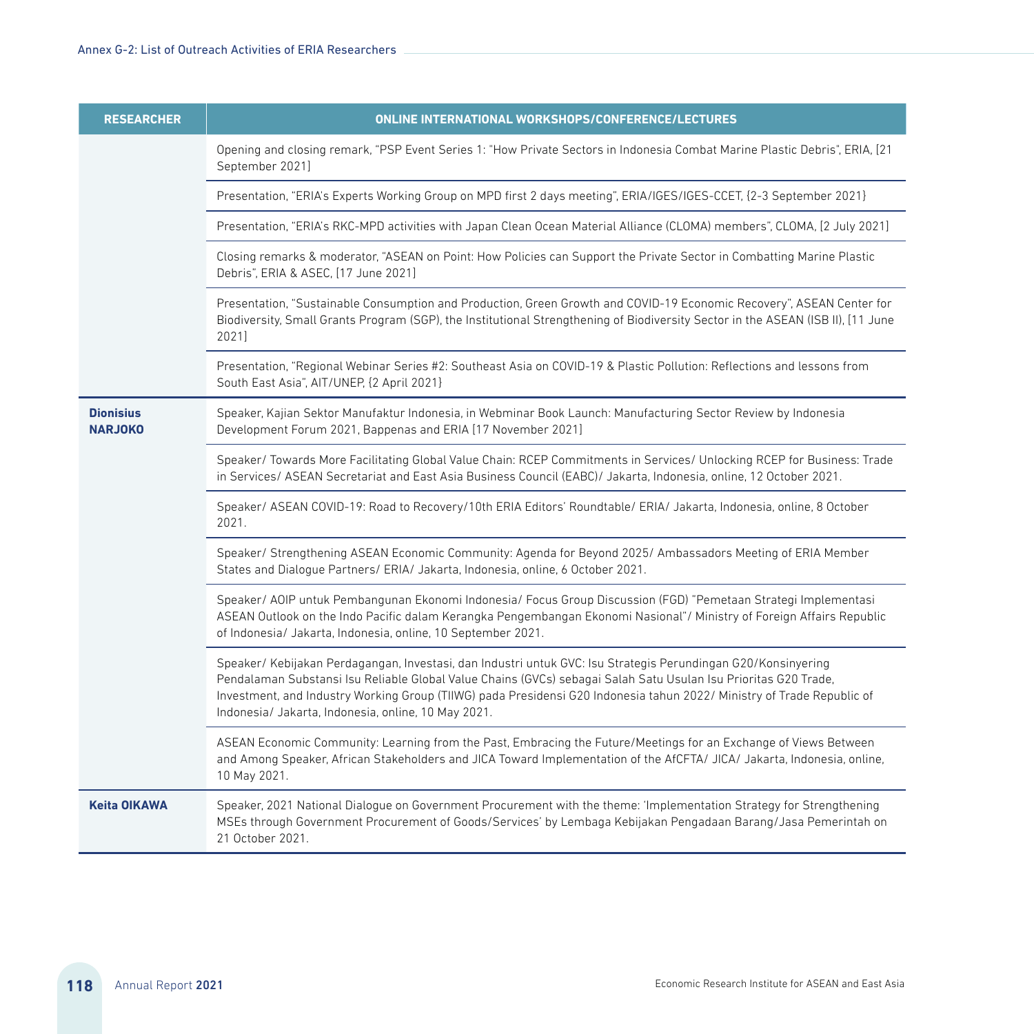| <b>RESEARCHER</b>                  | ONLINE INTERNATIONAL WORKSHOPS/CONFERENCE/LECTURES                                                                                                                                                                                                                                                                                                                                                                |
|------------------------------------|-------------------------------------------------------------------------------------------------------------------------------------------------------------------------------------------------------------------------------------------------------------------------------------------------------------------------------------------------------------------------------------------------------------------|
|                                    | Opening and closing remark, "PSP Event Series 1: "How Private Sectors in Indonesia Combat Marine Plastic Debris", ERIA, [21<br>September 2021]                                                                                                                                                                                                                                                                    |
|                                    | Presentation, "ERIA's Experts Working Group on MPD first 2 days meeting", ERIA/IGES/IGES-CCET, {2-3 September 2021}                                                                                                                                                                                                                                                                                               |
|                                    | Presentation, "ERIA's RKC-MPD activities with Japan Clean Ocean Material Alliance (CLOMA) members", CLOMA, [2 July 2021]                                                                                                                                                                                                                                                                                          |
|                                    | Closing remarks & moderator, "ASEAN on Point: How Policies can Support the Private Sector in Combatting Marine Plastic<br>Debris", ERIA & ASEC, [17 June 2021]                                                                                                                                                                                                                                                    |
|                                    | Presentation, "Sustainable Consumption and Production, Green Growth and COVID-19 Economic Recovery", ASEAN Center for<br>Biodiversity, Small Grants Program (SGP), the Institutional Strengthening of Biodiversity Sector in the ASEAN (ISB II), [11 June<br>20211                                                                                                                                                |
|                                    | Presentation, "Regional Webinar Series #2: Southeast Asia on COVID-19 & Plastic Pollution: Reflections and lessons from<br>South East Asia", AIT/UNEP, {2 April 2021}                                                                                                                                                                                                                                             |
| <b>Dionisius</b><br><b>NARJOKO</b> | Speaker, Kajian Sektor Manufaktur Indonesia, in Webminar Book Launch: Manufacturing Sector Review by Indonesia<br>Development Forum 2021, Bappenas and ERIA [17 November 2021]                                                                                                                                                                                                                                    |
|                                    | Speaker/Towards More Facilitating Global Value Chain: RCEP Commitments in Services/ Unlocking RCEP for Business: Trade<br>in Services/ ASEAN Secretariat and East Asia Business Council (EABC)/ Jakarta, Indonesia, online, 12 October 2021,                                                                                                                                                                      |
|                                    | Speaker/ ASEAN COVID-19: Road to Recovery/10th ERIA Editors' Roundtable/ ERIA/ Jakarta, Indonesia, online, 8 October<br>2021.                                                                                                                                                                                                                                                                                     |
|                                    | Speaker/ Strengthening ASEAN Economic Community: Agenda for Beyond 2025/ Ambassadors Meeting of ERIA Member<br>States and Dialogue Partners/ ERIA/ Jakarta, Indonesia, online, 6 October 2021.                                                                                                                                                                                                                    |
|                                    | Speaker/ AOIP untuk Pembangunan Ekonomi Indonesia/ Focus Group Discussion (FGD) "Pemetaan Strategi Implementasi<br>ASEAN Outlook on the Indo Pacific dalam Kerangka Pengembangan Ekonomi Nasional"/ Ministry of Foreign Affairs Republic<br>of Indonesia/ Jakarta, Indonesia, online, 10 September 2021.                                                                                                          |
|                                    | Speaker/ Kebijakan Perdagangan, Investasi, dan Industri untuk GVC: Isu Strategis Perundingan G20/Konsinyering<br>Pendalaman Substansi Isu Reliable Global Value Chains (GVCs) sebagai Salah Satu Usulan Isu Prioritas G20 Trade,<br>Investment, and Industry Working Group (TIIWG) pada Presidensi G20 Indonesia tahun 2022/ Ministry of Trade Republic of<br>Indonesia/ Jakarta, Indonesia, online, 10 May 2021. |
|                                    | ASEAN Economic Community: Learning from the Past, Embracing the Future/Meetings for an Exchange of Views Between<br>and Among Speaker, African Stakeholders and JICA Toward Implementation of the AfCFTA/ JICA/ Jakarta, Indonesia, online,<br>10 May 2021.                                                                                                                                                       |
| <b>Keita OIKAWA</b>                | Speaker, 2021 National Dialogue on Government Procurement with the theme: 'Implementation Strategy for Strengthening<br>MSEs through Government Procurement of Goods/Services' by Lembaga Kebijakan Pengadaan Barang/Jasa Pemerintah on<br>21 October 2021.                                                                                                                                                       |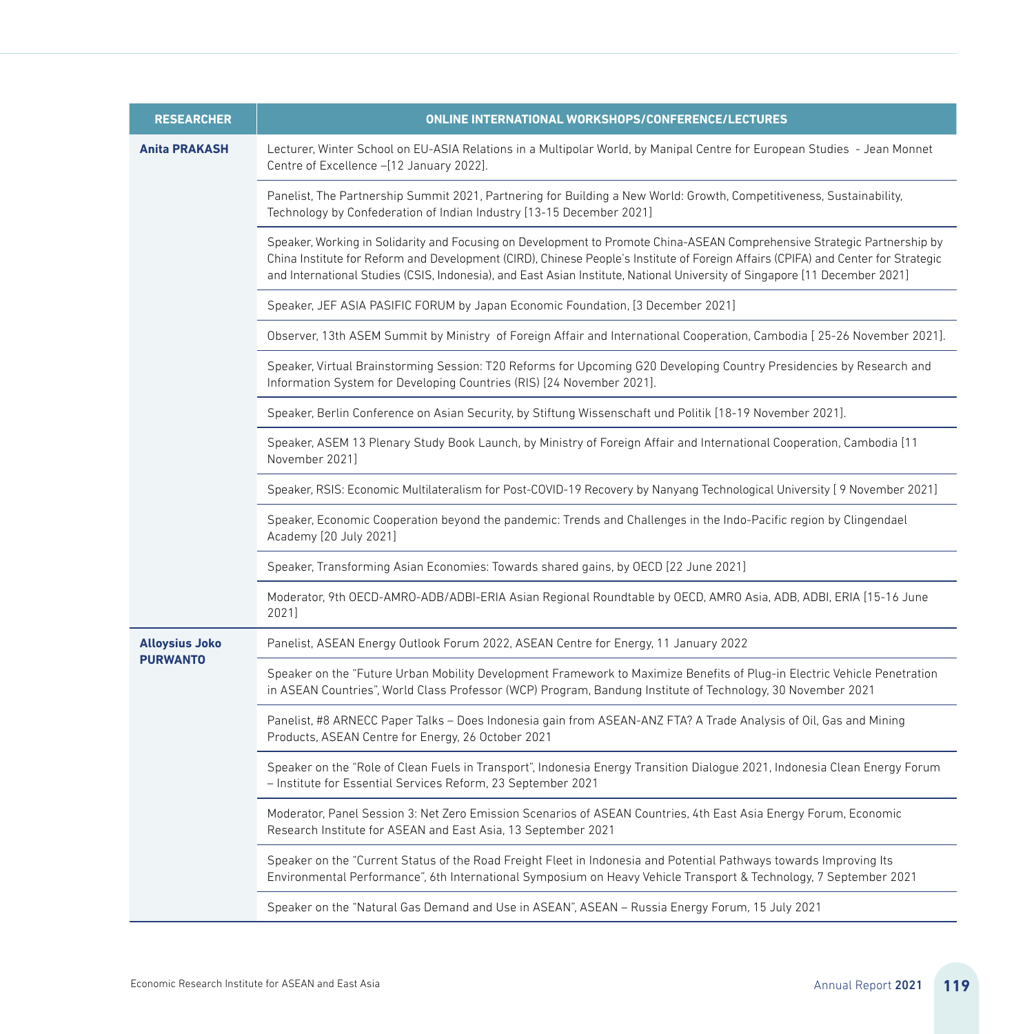| <b>RESEARCHER</b>     | ONLINE INTERNATIONAL WORKSHOPS/CONFERENCE/LECTURES                                                                                                                                                                                                                                                                                                                                          |
|-----------------------|---------------------------------------------------------------------------------------------------------------------------------------------------------------------------------------------------------------------------------------------------------------------------------------------------------------------------------------------------------------------------------------------|
| <b>Anita PRAKASH</b>  | Lecturer, Winter School on EU-ASIA Relations in a Multipolar World, by Manipal Centre for European Studies - Jean Monnet<br>Centre of Excellence -[12 January 2022].                                                                                                                                                                                                                        |
|                       | Panelist, The Partnership Summit 2021, Partnering for Building a New World: Growth, Competitiveness, Sustainability,<br>Technology by Confederation of Indian Industry [13-15 December 2021]                                                                                                                                                                                                |
|                       | Speaker, Working in Solidarity and Focusing on Development to Promote China-ASEAN Comprehensive Strategic Partnership by<br>China Institute for Reform and Development (CIRD), Chinese People's Institute of Foreign Affairs (CPIFA) and Center for Strategic<br>and International Studies (CSIS, Indonesia), and East Asian Institute, National University of Singapore [11 December 2021] |
|                       | Speaker, JEF ASIA PASIFIC FORUM by Japan Economic Foundation, [3 December 2021]                                                                                                                                                                                                                                                                                                             |
|                       | Observer, 13th ASEM Summit by Ministry of Foreign Affair and International Cooperation, Cambodia [25-26 November 2021].                                                                                                                                                                                                                                                                     |
|                       | Speaker, Virtual Brainstorming Session: T20 Reforms for Upcoming G20 Developing Country Presidencies by Research and<br>Information System for Developing Countries (RIS) [24 November 2021].                                                                                                                                                                                               |
|                       | Speaker, Berlin Conference on Asian Security, by Stiftung Wissenschaft und Politik [18-19 November 2021].                                                                                                                                                                                                                                                                                   |
|                       | Speaker, ASEM 13 Plenary Study Book Launch, by Ministry of Foreign Affair and International Cooperation, Cambodia [11<br>November 2021]                                                                                                                                                                                                                                                     |
|                       | Speaker, RSIS: Economic Multilateralism for Post-COVID-19 Recovery by Nanyang Technological University [9 November 2021]                                                                                                                                                                                                                                                                    |
|                       | Speaker, Economic Cooperation beyond the pandemic: Trends and Challenges in the Indo-Pacific region by Clingendael<br>Academy [20 July 2021]                                                                                                                                                                                                                                                |
|                       | Speaker, Transforming Asian Economies: Towards shared gains, by OECD [22 June 2021]                                                                                                                                                                                                                                                                                                         |
|                       | Moderator, 9th OECD-AMRO-ADB/ADBI-ERIA Asian Regional Roundtable by OECD, AMRO Asia, ADB, ADBI, ERIA [15-16 June<br>2021]                                                                                                                                                                                                                                                                   |
| <b>Alloysius Joko</b> | Panelist, ASEAN Energy Outlook Forum 2022, ASEAN Centre for Energy, 11 January 2022                                                                                                                                                                                                                                                                                                         |
| <b>PURWANTO</b>       | Speaker on the "Future Urban Mobility Development Framework to Maximize Benefits of Plug-in Electric Vehicle Penetration<br>in ASEAN Countries", World Class Professor (WCP) Program, Bandung Institute of Technology, 30 November 2021                                                                                                                                                     |
|                       | Panelist, #8 ARNECC Paper Talks - Does Indonesia gain from ASEAN-ANZ FTA? A Trade Analysis of Oil, Gas and Mining<br>Products, ASEAN Centre for Energy, 26 October 2021                                                                                                                                                                                                                     |
|                       | Speaker on the "Role of Clean Fuels in Transport", Indonesia Energy Transition Dialogue 2021, Indonesia Clean Energy Forum<br>- Institute for Essential Services Reform, 23 September 2021                                                                                                                                                                                                  |
|                       | Moderator, Panel Session 3: Net Zero Emission Scenarios of ASEAN Countries, 4th East Asia Energy Forum, Economic<br>Research Institute for ASEAN and East Asia, 13 September 2021                                                                                                                                                                                                           |
|                       | Speaker on the "Current Status of the Road Freight Fleet in Indonesia and Potential Pathways towards Improving Its<br>Environmental Performance", 6th International Symposium on Heavy Vehicle Transport & Technology, 7 September 2021                                                                                                                                                     |
|                       | Speaker on the "Natural Gas Demand and Use in ASEAN", ASEAN - Russia Energy Forum, 15 July 2021                                                                                                                                                                                                                                                                                             |